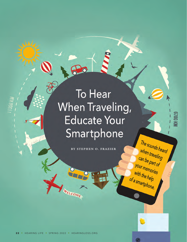# To Hear When Traveling, **Educate Your** Smartphone

 $P_{\odot}$ 

**BY STEPHEN O. FRAZIER**

**NN 0029** 

The sounds heard

when traveling<br>Can be payeling

can be part of<br>our men part of

your memories

with the help<br>a smart is help

of a smartphone.

**2 2** • HEARING LIFE • SPRING 2022 • HEARINGLOSS.ORG **2 2** • HEARING LIFE • SPRING 2022 • HEARINGLOSS.ORG

WELCOME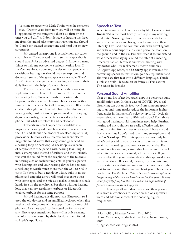I've come to agree with Mark Twain when he remarked<br>that, "Twenty years from now you will be more dis-<br>appointed by the things you didn't do than by the<br>ones you did do," so I don't let age or hearing loss keep 've come to agree with Mark Twain when he remarked that, "Twenty years from now you will be more disappointed by the things you didn't do than by the me from the grand adventure that travel can and should be. I grab my trusted smartphone and head out on new adventures.

My trusted smartphone is actually now my super smartphone. I've educated it with so many apps that it should qualify for an advanced degree. It knows so many things to help me overcome a serious hearing loss. If they've not already done so, traveler or not, people with or without hearing loss should get a smartphone and download some of the great apps now available. They'll face far fewer challenges when traveling and even in their daily lives with the help of a smartphone.

There are many different Bluetooth devices and applications available to help a traveler. If that traveler has hearing loss, Bluetooth-enabled hearing aids can be paired with a compatible smartphone for use with a variety of terrific apps. Not all hearing aids are Bluetoothenabled, though. For those who have telecoil-equipped hearing aids, most of those apps will work with varying degrees of quality, by connecting a neckloop to their phone. But what are telecoils and neckloops?

Telecoils are small copper coils available in a majority of hearing aid models available to residents in the U.S. and all but one model of cochlear implant (CI) processors. Telecoils act as receivers for silent electromagnetic sound waves that carry sound generated by a hearing loop or neckloop. A neckloop is a version of earphones for the person with hearing loss. Plug it into a smartphone instead of earbuds and it will silently transmit the sound from the telephone to the telecoils in hearing aids or cochlear implants. If you're a person with hearing loss and your hearing device has a telecoil, a neckloop is worth much more than the \$50 to \$75 it costs. It's best to buy a neckloop with a built-in microphone and amplifier as you will need that extra boost with some apps, and the mic also makes it possible to talk hands-free on the telephone. For those without hearing loss, they can use earphones, earbuds or Bluetoothenabled earbuds for the same purpose.

My old hearing aids did not have Bluetooth, so I used the old devices and an amplified neckloop when first testing and using some of these apps. I own an Android phone so I cannot speak to the actual performance of any iPhone apps mentioned here — I'm only relaying the information posted by their developers and found at Apple's App Store.

# **Speech to Text**

When traveling, as well as in everyday life, Google's **Live Transcribe** is the most heavily used app in my now highly educated Samsung phone. It converts speech to text and also identifies some background sounds and their intensity. I've used it to communicate with travel agents and with various airport and airline personnel both on the ground and in the air. I've even used it to understand what others were saying around the table at a meeting I recently had at Starbucks and when meeting with my doctor who I've nicknamed Doctor Mumbles. At Apple's App Store, the **Speechy** app is available for converting speech to text. It can go one step further and also translate that text into a different language. Touch a link and voilà—le texte est en français (Translation: The text is in French).

#### **Personal Sound Amplifier**

Next on my list of needed travel apps is a personal sound amplification app. In these days of COVID-19, social distancing can put us six feet way from someone speaking to us and some masks reduce the important higher frequencies in that person's voice by up to  $12<sup>1</sup>$  decibels — perceived as more than a 50% reduction.2 Even those with good hearing could sometimes need help. Further, hearing aid microphones are really effective only for sounds coming from six feet or so away.<sup>3</sup> I have my old Pocketalker but I don't need it with my smartphone and the **Ear Scout** app. With this app you can not only hear what's being said to you, but you can also record it and email that recording to yourself or someone else. Ear Scout has a fine-tuning feature that lets the user control which frequencies get boosted, a little or a lot. If you have a telecoil in your hearing device, this app works best with a neckloop. Be careful, though, if you're listening to a speaker some distance away and then someone right next to you speaks, that voice will blast you. iPhone users can turn to EarMachine. *Note: The Ear Machine app is no longer being updated and hasn't been for five years. It may work perfectly fine, but there should be no expectation of future enhancements or bug fixes.*

These apps allow individuals to use their phones as remote microphones for closer pickup of a speaker's voice and additional control for boosting higher frequencies.

<sup>&</sup>lt;sup>1</sup> Martin,BSc, *Hearing Journal*, Oct. 2020<br><sup>2</sup> Dave Meniccuci, Sandia National Labs, Noise Primer, 2005

<sup>3</sup> Jinghao Medical, August 2021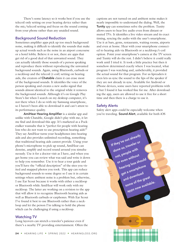There's some latency so it works best if you use the telecoil only setting on your hearing device rather than the mic/telecoil setting and focus on the sound coming from your phone rather than any unaided sound.

# **Background Sound Reduction**

Sometimes amplifier apps pick up too much background noise, making it difficult to identify the sounds that make up actual words such as the noise in an airport concourse or a hotel lobby. Believe it or not, there are apps that get rid of a good deal of that unwanted sound. They can actually identify those sounds of a person speaking and reproduce them without reproducing the unwanted background sounds. Again, using Bluetooth, earbuds or a neckloop and the telecoil (t-coil) setting on hearing aids, the creators of **Chatable** claim it can erase most of the background sounds. It identifies the voice of the person speaking and creates a new audio signal that sounds almost identical to the original while it removes the background sounds. Although it's on Google Play Store's list when I search on my desktop computer, it's not there when I do so with my Samsung smartphone, so I haven't been able to download it and can't attest to its performance quality.

**AmiHear Hearing Amplifier** is a similar app and unlike with Chatable, Google didn't play with me, it let me find and download this app. It's marketed as a Pocketalker wannabe that is "perfect for people with hearing loss who do not want to use prescription hearing aids!" They say AmiHear turns your headphones into hearing aids and also provides unlimited recording, something that traditional hearing aids cannot provide. Using your phone's microphone to pick up sound, AmiHear can denoise, amplify and record sound around you simultaneously. Use it for a doctor visit as I have, and when you get home you can review what was said and write it down to help you remember. Use it to hear a tour guide and you'll have the "official description" of the sites you visited and snapped photos you took. This app can reduce background sounds to some degree so I use it in certain settings where ambient noise is a problem but, otherwise, I use Ear Scout because it works with either a neckloop or Bluetooth while AmiHear will work only with my neckloop. The latter are working on a revision to the app that will allow it to recognize Bluetooth hearing aids as well as Bluetooth earbuds or earphones. With Ear Scout I've found it best to use Bluetooth rather than a neckloop and let the person I'm talking to hold the phone which can be challenging if using a neckloop.

# **Watching TV**

Long layovers can stretch a traveler's patience even if there's a nearby TV providing entertainment. Often the captions are not turned on and ambient noise makes it nearly impossible to understand the dialog. Well, the **Tunity** app can sometimes solve the problem. Tunity allows users to hear live audio even from distant or muted TVs. It identifies a live video stream and its exact timing, syncing the audio with the user's smartphone. Use it at bars, gyms, restaurants, waiting rooms, airports and even at home. Hear with your smartphone connected to hearing aids via Bluetooth or a neckloop/t-coil option. Point your smartphone's camera at the TV screen and Tunity will do the rest. I didn't believe it could really work until I tried it. It took a little practice but then it somehow determined exactly where I was located, what program I was watching and, unbelievably, it provided the actual sound for that program. For us lipreaders it even lets us sync the sound to the lips of the speaker if they are not already in sync. Available for Android or iPhone devices, some users have reported problems with it but I found it has worked fine for me. After downloading the app, users are allowed to use it free for a short time and then there is a charge to use it.

# **Safety Alerts**

Safety alert apps could be especially welcome when you're traveling. **Sound Alert**, available for both iOS

| If they've not already<br>done so, traveler or             |                     |  |
|------------------------------------------------------------|---------------------|--|
| not, people with<br>or even without<br>hearing loss should |                     |  |
| get a smartphone<br>and download<br>some of the great      |                     |  |
|                                                            | apps now available. |  |
|                                                            |                     |  |
|                                                            |                     |  |
|                                                            |                     |  |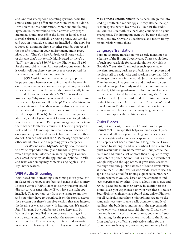and Android smartphone operating systems, hears the smoke alarm going off in another room when you don't. It will alert you via notifications, vibrations and flashing lights on your smartphone or tablet when any preprogrammed sound goes off in the house or hotel such as a smoke alarm, a doorbell, a ringing phone, etc. Smoke and carbon monoxide sounds are installed in the app. For a doorbell, a ringing phone or other sounds, you record the specific sounds in your environment, and it recognizes them. There's a free Android or iPhone version of this app that's not terribly highly rated or there's a "full" version that's \$36.99 for the iPhone and \$54.99 for the Android version. At those prices, one would hope it works well but there were no user reviews posted for these versions and I have not tested it.

**SOS Alert** is another free emergency app that helps you out whenever your safety is at risk by reaching out to your emergency contacts and providing them with your current location. It has no ads, a user-friendly interface and the widget for sending SOS Alerts works with just one tap. Why would you want this when you can use that same cellphone to call for help? OK, you're hiking in the mountains in New Mexico and realize you're lost, or you've strayed from your friends on a visit to Paris (and you don't speak French). In the case of an emergency like that, a link of your current location on Google Maps is sent as part of your SOS to your emergency contacts so that they can locate you accurately. The emergency contacts and the SOS message are stored on your device so only you and your listed contacts have access to it, others do not. You can edit what the SOS message says and add other useful information regarding your emergency.

For iPhone users, **My SoS Family**, too, connects to a "first responder" family and friends list you create which keeps them informed in an emergency. Contacts are alerted instantly via the app, not your phone. It calls and texts your emergency contacts using Apple's Find My Device feature.

#### **WiFi Audio Streaming**

WiFi-based audio streaming is becoming more prevalent in places of worship, sports bars and gyms in this country. It uses a venue's WiFi system to silently transmit sound directly to your smartphone IF you have the right app installed. That app can vary from one venue to another, and you might have to download it on the spot to access their system but there's one free version that may interest the hearing as well as those with hearing loss. It's usually found in gyms but could be used elsewhere and, by having the app installed on your phone, if you get into such a setting and can't hear what the speaker is saying, what's on the TV or whatever, turn it on and see — it may be available on WiFi that matches your download of

**MYE Fitness Entertainment** that's been integrated into leading health club mobile apps. It may also be the app used in sports bars to hear the TV. To hear the audio, you can use Bluetooth or a neckloop connected to your smartphone. I'm hoping my gym will be using this app when I end my COVID-19 sabbatical and return to my cardio rehab routine there.

#### **Language Translation**

Foreign language translation was already mentioned as a feature of the iPhone Speechy app. There's a plethora of such apps available for Android phones. My pick is Google's **Translate**. It and other such apps enable travelers, students, business professionals, employers and medical staff to read, write and speak in more than 100 languages, anywhere in the world. Just start speaking and Translate recognizes your voice and translates to your desired language. I recently used it to communicate with an elderly Chinese gentleman in a local oriental supermarket when I found he did not speak English. Turned out I was in the Japanese aisle and the hoisin sauce was in the Chinese aisle. Next time I'm in Paris I won't need to seek out an English speaker when I get lost in the subway — French is one of the many languages my smartphone speaks almost like a native.

#### **Quiet Places**

Last, but not least, on my list of "must have" apps is **SoundPrint** — an app that helps you find a quiet place to relax and talk with your traveling companion about the new sights and sounds you experienced that day. This app has not been around for a long time, so I was surprised by its length and variety when I did a search for quiet restaurants in my hometown of Albuquerque the first time and found a list of more than 40 quiet to very loud eateries posted. SoundPrint is a free app available at Google Play and the App Store. It gives users access to the huge and only public database of sound levels taken at more than 100,000 venues worldwide. Easy to use, the app is a valuable tool for finding a quiet restaurant, bar or cafe wherever you are, based on the ambient sound level experienced by others. It also allows you to rate and review places based on their service in addition to the sound levels you experienced on your visit there. Because SoundPrint's engineers have found that, unlike iPhones, not all Android smartphone microphones are up to the standards necessary to take really accurate sound level readings; the built-in sound meter in the app currently works only with certain Android phones. If that's the case and it won't work on your phone, you can still submit a rating for the place you want to add to the Sound-Print database by offering a subjective rating for the sound level such as quiet, moderate, loud or very loud.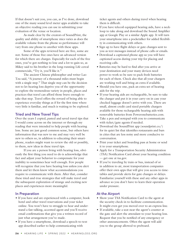If that doesn't suit you, you can, as I've done, download one of the many sound level meter apps available to take an objective reading you can use in submitting your evaluation of the venue or location.

As made clear by the creators of SoundPrint, the quality and ability of smartphone mics varies as does the available volume from the phone so performance will vary from one phone to another with these apps.

Some of the apps reviewed here are free, some are not. Some of those free ones have an advanced version for which there are charges. Especially for each of the free ones, you've got nothing to lose and a lot to gain so, as Mikey said to his brother in the long-running Life cereal commercials, "Try it, you'll like it."

The ancient Chinese philosopher and writer Lao Tzu said, "A journey of a thousand miles must begin with a single step." That single step can be the decision not to let hearing loss deprive you of the opportunity to explore the tremendous variety in people, places and practices that travel can afford those brave enough to take that step. Travel offers the reward of being able to experience everyday things as if for the first time where very little is familiar, and much is waiting to be explored.

# **Tried and New Travel Tips**

Over the years I copied, pasted and saved travel tips that I would come across on the internet or through my reading that were intended to help people with hearing loss. Some are just good common sense, but others have information that was new to me and may very well be new to others so, in addition to educating their smartphone, readers might want to review the old or possibly, to them, new ideas in these travel tips.

If you are a person living with hearing loss, obviously the first thing you need to do is acknowledge that fact and adjust your behavior to compensate for your inability to sometimes hear well enough. Few people will recognize that you have hearing loss unless you alert them and let them know what accommodations you require to communicate with them. After that, consider these tried-and-true strategies that will make travel and the subsequent exploration of strange and exciting new places and experiences more meaningful.

# **In Preparation**

- If you have and are experienced with a computer, book hotel and other travel reservations and your ticket online. You won't have to struggle to hear and understand a fast talking, accented agent and you'll receive email confirmations that give you a written record of just what arrangement you've made.
- If you have a smartphone, download a speech-to-text app described earlier to help communicating with

ticket agents and others during travel when hearing them is difficult.

- If you have telecoil equipped hearing aids, have a neckloop to take along and download the Sound Amplifier app at Google Play or a similar Apple app. It will turn your smartphone into a pocketalker for added flexibility in communicating with others.
- Sign up to have flight delays or gate changes sent to you as text messages instead of phone calls or emails.
- Download a captioned phone app so you will have captioned access during your trip for placing and receiving calls.
- Batteries may be hard to find after you arrive at your destination and your many devices need power to work so be sure to pack fresh batteries for each of them. Check also that all your chargers are working well and bring an extra if available.
- Should you have one, pack an extra set of hearing aids for the trip.
- If your hearing aids are rechargeable, be sure to take the charger and put it in your carry-on in case your checked luggage doesn't arrive with you. There are small, almost credit card sized portable chargers available for those rechargeable hearing aids with removable batteries from [Poweronebatteries.com](http://Poweronebatteries.com).
- Take a pen and notepad with you to communicate with ticket/gate agents if needed.
- Download the SoundPrint app ([soundprint.co/\)](http://soundprint.co/) for its quiet list that identifies restaurants and bars in cities that are less noisy and more conducive to conversation.
- Print your ticket and boarding pass at home or send it to your smartphone.
- Apply for a Transportation Security Administration (TSA) Notification Card about your hearing condition — get one at [tsa.gov](http://tsa.gov).
- If you're traveling by train or bus, instead of or in addition to air, most transportation companies offer their own apps that will give you access to timetables and provide alerts for gate changes or delays. Familiarize yourself with these and any other apps in advance so you don't have to learn their operation under pressure.

# **At the Airport**

- Show your TSA Notification Card to the agent at the security check-in to facilitate communication. It might even get you moved over to an express line.
- If available, take a seat near the agent's counter at the gate and alert the attendant to your hearing loss. Request that you be notified of any emergency or other announcements. Often the agent will add you to the group allowed to preboard.